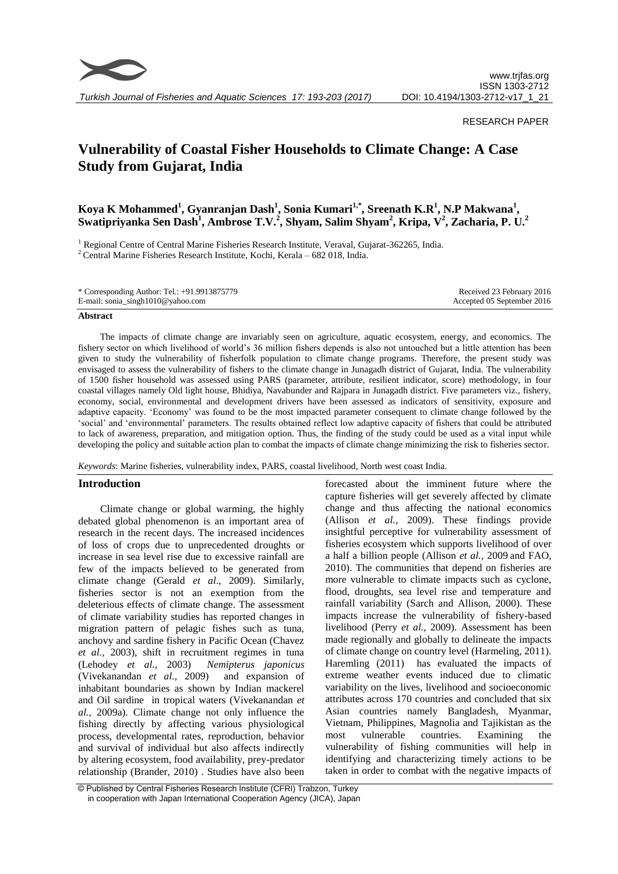

*Turkish Journal of Fisheries and Aquatic Sciences 17: 193-203 (2017)*

#### RESEARCH PAPER

# **Vulnerability of Coastal Fisher Households to Climate Change: A Case Study from Gujarat, India**

**Koya K Mohammed<sup>1</sup> , Gyanranjan Dash<sup>1</sup> , Sonia Kumari1,\* , Sreenath K.R<sup>1</sup> , N.P Makwana<sup>1</sup> , Swatipriyanka Sen Dash<sup>1</sup> , Ambrose T.V.<sup>2</sup> , Shyam, Salim Shyam<sup>2</sup> , Kripa, V<sup>2</sup> , Zacharia, P. U.<sup>2</sup>**

<sup>1</sup> Regional Centre of Central Marine Fisheries Research Institute, Veraval, Gujarat-362265, India.

<sup>2</sup> Central Marine Fisheries Research Institute, Kochi, Kerala – 682 018, India.

| * Corresponding Author: Tel.: $+91.9913875779$ | Received 23 February 2016  |
|------------------------------------------------|----------------------------|
| E-mail: sonia_singh1010@yahoo.com              | Accepted 05 September 2016 |

#### **Abstract**

The impacts of climate change are invariably seen on agriculture, aquatic ecosystem, energy, and economics. The fishery sector on which livelihood of world's 36 million fishers depends is also not untouched but a little attention has been given to study the vulnerability of fisherfolk population to climate change programs. Therefore, the present study was envisaged to assess the vulnerability of fishers to the climate change in Junagadh district of Gujarat, India. The vulnerability of 1500 fisher household was assessed using PARS (parameter, attribute, resilient indicator, score) methodology, in four coastal villages namely Old light house, Bhidiya, Navabunder and Rajpara in Junagadh district. Five parameters viz., fishery, economy, social, environmental and development drivers have been assessed as indicators of sensitivity, exposure and adaptive capacity. 'Economy' was found to be the most impacted parameter consequent to climate change followed by the 'social' and 'environmental' parameters. The results obtained reflect low adaptive capacity of fishers that could be attributed to lack of awareness, preparation, and mitigation option. Thus, the finding of the study could be used as a vital input while developing the policy and suitable action plan to combat the impacts of climate change minimizing the risk to fisheries sector.

*Keywords*: Marine fisheries, vulnerability index, PARS, coastal livelihood, North west coast India.

# **Introduction**

Climate change or global warming, the highly debated global phenomenon is an important area of research in the recent days. The increased incidences of loss of crops due to unprecedented droughts or increase in sea level rise due to excessive rainfall are few of the impacts believed to be generated from climate change (Gerald *et al*., 2009). Similarly, fisheries sector is not an exemption from the deleterious effects of climate change. The assessment of climate variability studies has reported changes in migration pattern of pelagic fishes such as tuna, anchovy and sardine fishery in Pacific Ocean (Chavez *et al.,* 2003), shift in recruitment regimes in tuna (Lehodey *et al.,* 2003) *Nemipterus japonicus* (Vivekanandan *et al.,* 2009) and expansion of inhabitant boundaries as shown by Indian mackerel and Oil sardine in tropical waters (Vivekanandan *et al.,* 2009a). Climate change not only influence the fishing directly by affecting various physiological process, developmental rates, reproduction, behavior and survival of individual but also affects indirectly by altering ecosystem, food availability, prey-predator relationship (Brander, 2010) . Studies have also been

forecasted about the imminent future where the capture fisheries will get severely affected by climate change and thus affecting the national economics (Allison *et al.,* 2009). These findings provide insightful perceptive for vulnerability assessment of fisheries ecosystem which supports livelihood of over a half a billion people (Allison *et al.,* 2009 and FAO, 2010). The communities that depend on fisheries are more vulnerable to climate impacts such as cyclone, flood, droughts, sea level rise and temperature and rainfall variability (Sarch and Allison, 2000). These impacts increase the vulnerability of fishery-based livelihood (Perry *et al.,* 2009). Assessment has been made regionally and globally to delineate the impacts of climate change on country level (Harmeling, 2011). Haremling (2011) has evaluated the impacts of extreme weather events induced due to climatic variability on the lives, livelihood and socioeconomic attributes across 170 countries and concluded that six Asian countries namely Bangladesh, Myanmar, Vietnam, Philippines, Magnolia and Tajikistan as the most vulnerable countries. Examining the vulnerability of fishing communities will help in identifying and characterizing timely actions to be taken in order to combat with the negative impacts of

<sup>©</sup> Published by Central Fisheries Research Institute (CFRI) Trabzon, Turkey in cooperation with Japan International Cooperation Agency (JICA), Japan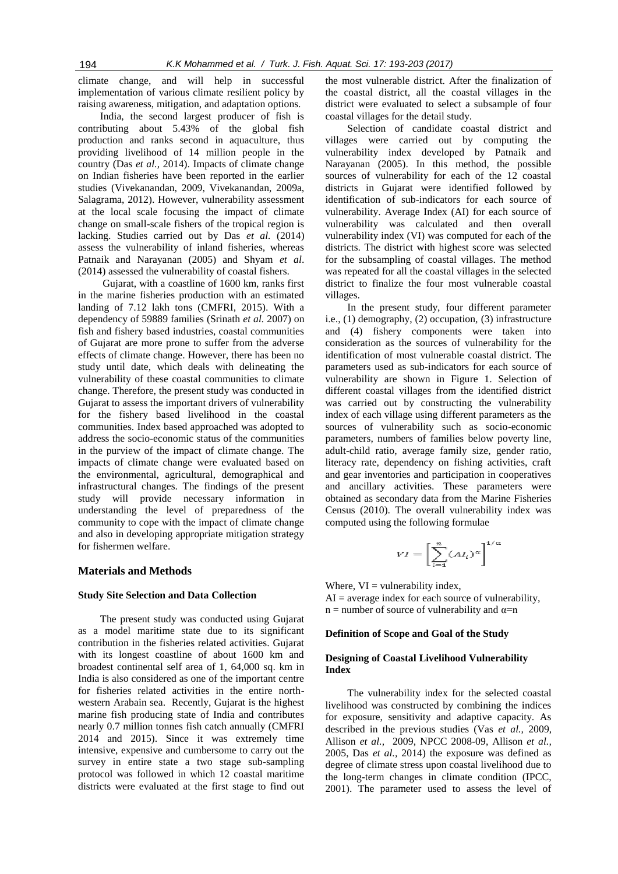climate change, and will help in successful implementation of various climate resilient policy by raising awareness, mitigation, and adaptation options.

India, the second largest producer of fish is contributing about 5.43% of the global fish production and ranks second in aquaculture, thus providing livelihood of 14 million people in the country (Das *et al.,* 2014). Impacts of climate change on Indian fisheries have been reported in the earlier studies (Vivekanandan, 2009, Vivekanandan, 2009a, Salagrama, 2012). However, vulnerability assessment at the local scale focusing the impact of climate change on small-scale fishers of the tropical region is lacking. Studies carried out by Das *et al.* (2014) assess the vulnerability of inland fisheries, whereas Patnaik and Narayanan (2005) and Shyam *et al*. (2014) assessed the vulnerability of coastal fishers.

Gujarat, with a coastline of 1600 km, ranks first in the marine fisheries production with an estimated landing of 7.12 lakh tons (CMFRI, 2015). With a dependency of 59889 families (Srinath *et al.* 2007) on fish and fishery based industries, coastal communities of Gujarat are more prone to suffer from the adverse effects of climate change. However, there has been no study until date, which deals with delineating the vulnerability of these coastal communities to climate change. Therefore, the present study was conducted in Gujarat to assess the important drivers of vulnerability for the fishery based livelihood in the coastal communities. Index based approached was adopted to address the socio-economic status of the communities in the purview of the impact of climate change. The impacts of climate change were evaluated based on the environmental, agricultural, demographical and infrastructural changes. The findings of the present study will provide necessary information in understanding the level of preparedness of the community to cope with the impact of climate change and also in developing appropriate mitigation strategy for fishermen welfare.

#### **Materials and Methods**

# **Study Site Selection and Data Collection**

The present study was conducted using Gujarat as a model maritime state due to its significant contribution in the fisheries related activities. Gujarat with its longest coastline of about 1600 km and broadest continental self area of 1, 64,000 sq. km in India is also considered as one of the important centre for fisheries related activities in the entire northwestern Arabain sea. Recently, Gujarat is the highest marine fish producing state of India and contributes nearly 0.7 million tonnes fish catch annually (CMFRI 2014 and 2015). Since it was extremely time intensive, expensive and cumbersome to carry out the survey in entire state a two stage sub-sampling protocol was followed in which 12 coastal maritime districts were evaluated at the first stage to find out the most vulnerable district. After the finalization of the coastal district, all the coastal villages in the district were evaluated to select a subsample of four coastal villages for the detail study.

Selection of candidate coastal district and villages were carried out by computing the vulnerability index developed by Patnaik and Narayanan (2005). In this method, the possible sources of vulnerability for each of the 12 coastal districts in Gujarat were identified followed by identification of sub-indicators for each source of vulnerability. Average Index (AI) for each source of vulnerability was calculated and then overall vulnerability index (VI) was computed for each of the districts. The district with highest score was selected for the subsampling of coastal villages. The method was repeated for all the coastal villages in the selected district to finalize the four most vulnerable coastal villages.

In the present study, four different parameter i.e., (1) demography, (2) occupation, (3) infrastructure and (4) fishery components were taken into consideration as the sources of vulnerability for the identification of most vulnerable coastal district. The parameters used as sub-indicators for each source of vulnerability are shown in Figure 1. Selection of different coastal villages from the identified district was carried out by constructing the vulnerability index of each village using different parameters as the sources of vulnerability such as socio-economic parameters, numbers of families below poverty line, adult-child ratio, average family size, gender ratio, literacy rate, dependency on fishing activities, craft and gear inventories and participation in cooperatives and ancillary activities. These parameters were obtained as secondary data from the Marine Fisheries Census (2010). The overall vulnerability index was computed using the following formulae

$$
VI = \left[\sum_{i=1}^{n} (AI_i)^{\alpha}\right]^{1/\alpha}
$$

Where,  $VI =$  vulnerability index.  $AI = average$  index for each source of vulnerability,

# n = number of source of vulnerability and  $\alpha$ =n

#### **Definition of Scope and Goal of the Study**

#### **Designing of Coastal Livelihood Vulnerability Index**

The vulnerability index for the selected coastal livelihood was constructed by combining the indices for exposure, sensitivity and adaptive capacity. As described in the previous studies (Vas *et al.,* 2009, Allison *et al.,* 2009, NPCC 2008-09, Allison *et al.,* 2005, Das *et al.,* 2014) the exposure was defined as degree of climate stress upon coastal livelihood due to the long-term changes in climate condition (IPCC, 2001). The parameter used to assess the level of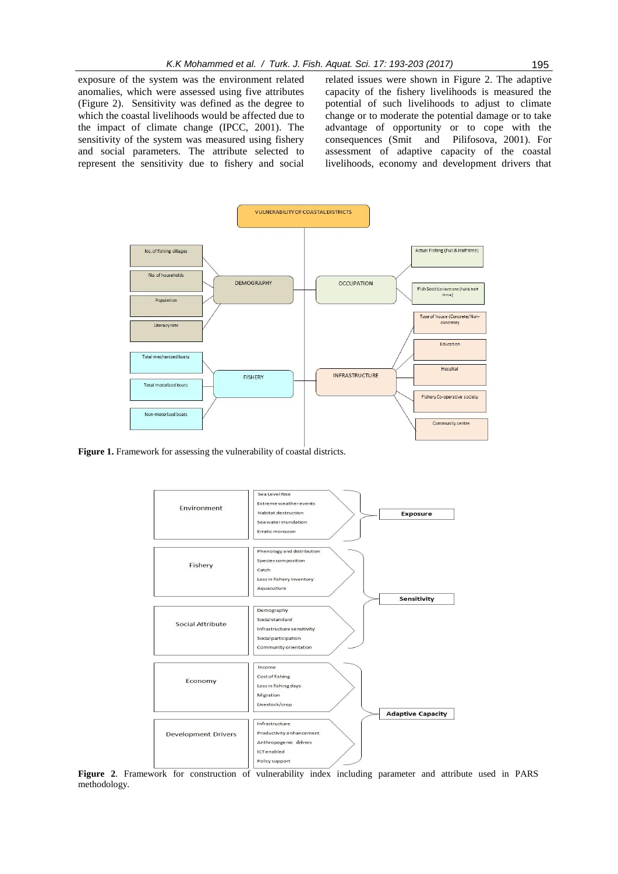exposure of the system was the environment related anomalies, which were assessed using five attributes (Figure 2). Sensitivity was defined as the degree to which the coastal livelihoods would be affected due to the impact of climate change (IPCC, 2001). The sensitivity of the system was measured using fishery and social parameters. The attribute selected to represent the sensitivity due to fishery and social

related issues were shown in Figure 2. The adaptive capacity of the fishery livelihoods is measured the potential of such livelihoods to adjust to climate change or to moderate the potential damage or to take advantage of opportunity or to cope with the consequences (Smit and Pilifosova, 2001). For assessment of adaptive capacity of the coastal livelihoods, economy and development drivers that



**Figure 1.** Framework for assessing the vulnerability of coastal districts.



**Figure 2**. Framework for construction of vulnerability index including parameter and attribute used in PARS methodology.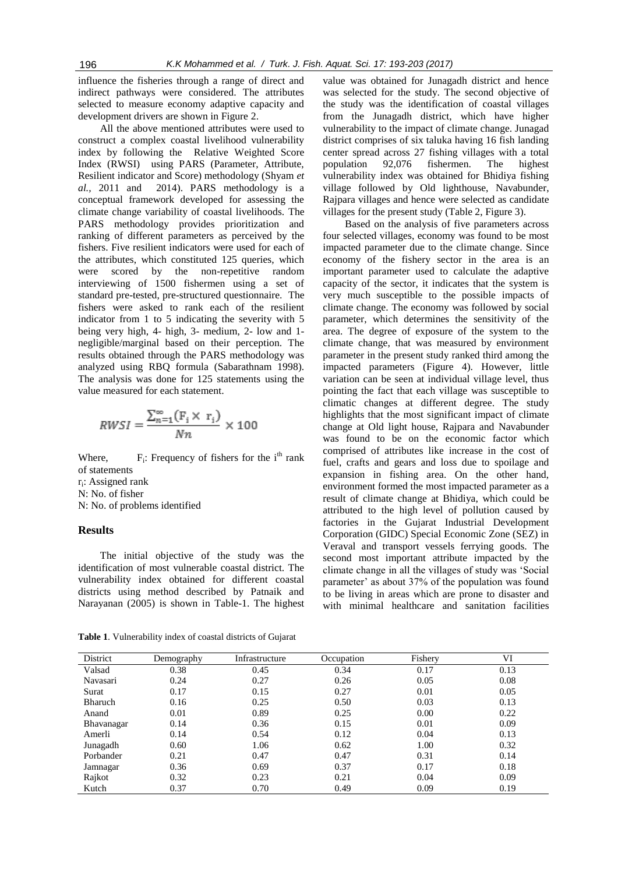influence the fisheries through a range of direct and indirect pathways were considered. The attributes selected to measure economy adaptive capacity and development drivers are shown in Figure 2.

All the above mentioned attributes were used to construct a complex coastal livelihood vulnerability index by following the Relative Weighted Score Index (RWSI) using PARS (Parameter, Attribute, Resilient indicator and Score) methodology (Shyam *et al.,* 2011 and 2014). PARS methodology is a conceptual framework developed for assessing the climate change variability of coastal livelihoods. The PARS methodology provides prioritization and ranking of different parameters as perceived by the fishers. Five resilient indicators were used for each of the attributes, which constituted 125 queries, which were scored by the non-repetitive random interviewing of 1500 fishermen using a set of standard pre-tested, pre-structured questionnaire. The fishers were asked to rank each of the resilient indicator from 1 to 5 indicating the severity with 5 being very high, 4- high, 3- medium, 2- low and 1 negligible/marginal based on their perception. The results obtained through the PARS methodology was analyzed using RBQ formula (Sabarathnam 1998). The analysis was done for 125 statements using the value measured for each statement.

$$
RWSI = \frac{\sum_{n=1}^{\infty} (\mathbf{F}_i \times \mathbf{r}_i)}{Nn} \times 100
$$

Where.  $F_i$ : Frequency of fishers for the i<sup>th</sup> rank of statements

ri : Assigned rank

N: No. of fisher

N: No. of problems identified

#### **Results**

The initial objective of the study was the identification of most vulnerable coastal district. The vulnerability index obtained for different coastal districts using method described by Patnaik and Narayanan (2005) is shown in Table-1. The highest

**Table 1**. Vulnerability index of coastal districts of Gujarat

value was obtained for Junagadh district and hence was selected for the study. The second objective of the study was the identification of coastal villages from the Junagadh district, which have higher vulnerability to the impact of climate change. Junagad district comprises of six taluka having 16 fish landing center spread across 27 fishing villages with a total population 92,076 fishermen. The highest vulnerability index was obtained for Bhidiya fishing village followed by Old lighthouse, Navabunder, Rajpara villages and hence were selected as candidate villages for the present study (Table 2, Figure 3).

Based on the analysis of five parameters across four selected villages, economy was found to be most impacted parameter due to the climate change. Since economy of the fishery sector in the area is an important parameter used to calculate the adaptive capacity of the sector, it indicates that the system is very much susceptible to the possible impacts of climate change. The economy was followed by social parameter, which determines the sensitivity of the area. The degree of exposure of the system to the climate change, that was measured by environment parameter in the present study ranked third among the impacted parameters (Figure 4). However, little variation can be seen at individual village level, thus pointing the fact that each village was susceptible to climatic changes at different degree. The study highlights that the most significant impact of climate change at Old light house, Rajpara and Navabunder was found to be on the economic factor which comprised of attributes like increase in the cost of fuel, crafts and gears and loss due to spoilage and expansion in fishing area. On the other hand, environment formed the most impacted parameter as a result of climate change at Bhidiya, which could be attributed to the high level of pollution caused by factories in the Gujarat Industrial Development Corporation (GIDC) Special Economic Zone (SEZ) in Veraval and transport vessels ferrying goods. The second most important attribute impacted by the climate change in all the villages of study was 'Social parameter' as about 37% of the population was found to be living in areas which are prone to disaster and with minimal healthcare and sanitation facilities

| District   | Demography | Infrastructure | Occupation | Fishery | VI   |
|------------|------------|----------------|------------|---------|------|
| Valsad     | 0.38       | 0.45           | 0.34       | 0.17    | 0.13 |
| Navasari   | 0.24       | 0.27           | 0.26       | 0.05    | 0.08 |
| Surat      | 0.17       | 0.15           | 0.27       | 0.01    | 0.05 |
| Bharuch    | 0.16       | 0.25           | 0.50       | 0.03    | 0.13 |
| Anand      | 0.01       | 0.89           | 0.25       | 0.00    | 0.22 |
| Bhavanagar | 0.14       | 0.36           | 0.15       | 0.01    | 0.09 |
| Amerli     | 0.14       | 0.54           | 0.12       | 0.04    | 0.13 |
| Junagadh   | 0.60       | 1.06           | 0.62       | 1.00    | 0.32 |
| Porbander  | 0.21       | 0.47           | 0.47       | 0.31    | 0.14 |
| Jamnagar   | 0.36       | 0.69           | 0.37       | 0.17    | 0.18 |
| Rajkot     | 0.32       | 0.23           | 0.21       | 0.04    | 0.09 |
| Kutch      | 0.37       | 0.70           | 0.49       | 0.09    | 0.19 |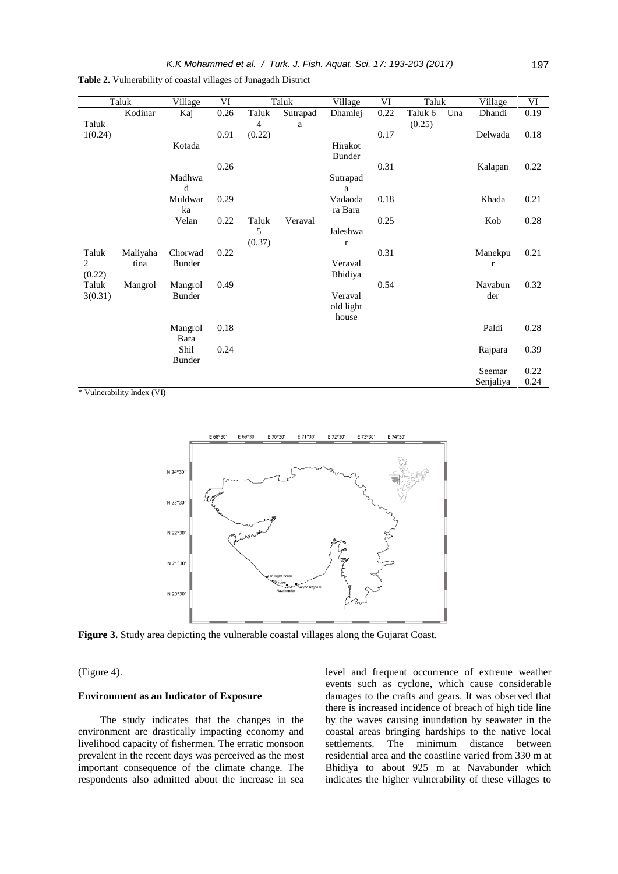|                | Taluk    | Village       | VI       |        | Taluk    | Village       | VI   | Taluk   |     | Village     | VI           |
|----------------|----------|---------------|----------|--------|----------|---------------|------|---------|-----|-------------|--------------|
|                | Kodinar  | Kaj           | $0.26\,$ | Taluk  | Sutrapad | Dhamlej       | 0.22 | Taluk 6 | Una | Dhandi      | 0.19         |
| Taluk          |          |               |          | 4      | a        |               |      | (0.25)  |     |             |              |
| 1(0.24)        |          |               | 0.91     | (0.22) |          |               | 0.17 |         |     | Delwada     | 0.18         |
|                |          | Kotada        |          |        |          | Hirakot       |      |         |     |             |              |
|                |          |               |          |        |          | <b>Bunder</b> |      |         |     |             |              |
|                |          |               | 0.26     |        |          |               | 0.31 |         |     | Kalapan     | 0.22         |
|                |          | Madhwa        |          |        |          | Sutrapad      |      |         |     |             |              |
|                |          | d<br>Muldwar  | 0.29     |        |          | a<br>Vadaoda  | 0.18 |         |     | Khada       | 0.21         |
|                |          | ka            |          |        |          | ra Bara       |      |         |     |             |              |
|                |          | Velan         | 0.22     | Taluk  | Veraval  |               | 0.25 |         |     | Kob         | 0.28         |
|                |          |               |          | 5      |          | Jaleshwa      |      |         |     |             |              |
|                |          |               |          | (0.37) |          | $\mathbf{r}$  |      |         |     |             |              |
| Taluk          | Maliyaha | Chorwad       | 0.22     |        |          |               | 0.31 |         |     | Manekpu     | 0.21         |
| $\overline{2}$ | tina     | Bunder        |          |        |          | Veraval       |      |         |     | $\mathbf r$ |              |
| (0.22)         |          |               |          |        |          | Bhidiya       |      |         |     |             |              |
| Taluk          | Mangrol  | Mangrol       | 0.49     |        |          |               | 0.54 |         |     | Navabun     | 0.32         |
| 3(0.31)        |          | <b>Bunder</b> |          |        |          | Veraval       |      |         |     | der         |              |
|                |          |               |          |        |          | old light     |      |         |     |             |              |
|                |          |               |          |        |          | house         |      |         |     |             |              |
|                |          | Mangrol       | 0.18     |        |          |               |      |         |     | Paldi       | 0.28         |
|                |          | Bara          |          |        |          |               |      |         |     |             |              |
|                |          | Shil          | 0.24     |        |          |               |      |         |     | Rajpara     | 0.39         |
|                |          | <b>Bunder</b> |          |        |          |               |      |         |     |             |              |
|                |          |               |          |        |          |               |      |         |     | Seemar      | 0.22<br>0.24 |
|                |          |               |          |        |          |               |      |         |     | Senjaliya   |              |

**Table 2.** Vulnerability of coastal villages of Junagadh District

\* Vulnerability Index (VI)



**Figure 3.** Study area depicting the vulnerable coastal villages along the Gujarat Coast.

(Figure 4).

#### **Environment as an Indicator of Exposure**

The study indicates that the changes in the environment are drastically impacting economy and livelihood capacity of fishermen. The erratic monsoon prevalent in the recent days was perceived as the most important consequence of the climate change. The respondents also admitted about the increase in sea level and frequent occurrence of extreme weather events such as cyclone, which cause considerable damages to the crafts and gears. It was observed that there is increased incidence of breach of high tide line by the waves causing inundation by seawater in the coastal areas bringing hardships to the native local settlements. The minimum distance between residential area and the coastline varied from 330 m at Bhidiya to about 925 m at Navabunder which indicates the higher vulnerability of these villages to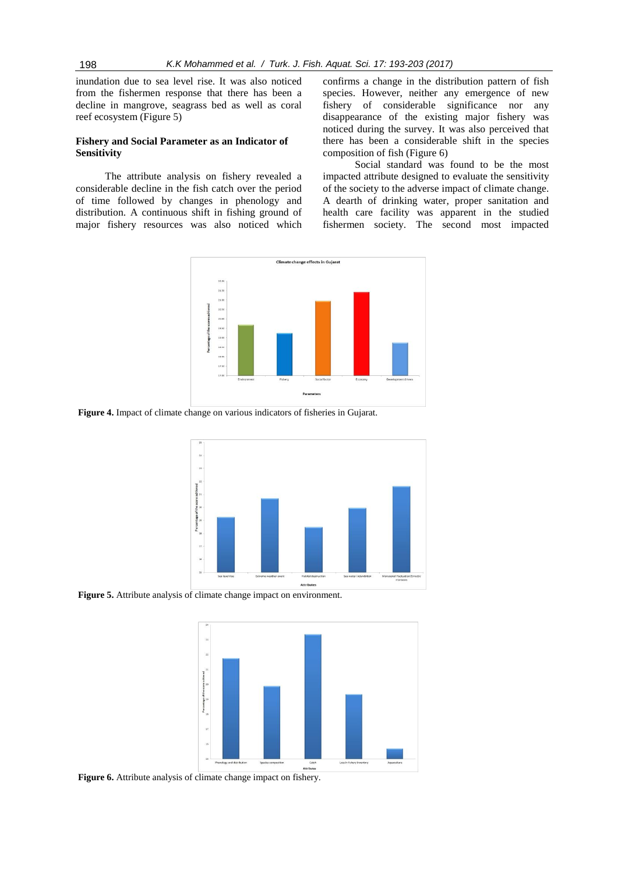inundation due to sea level rise. It was also noticed from the fishermen response that there has been a decline in mangrove, seagrass bed as well as coral reef ecosystem (Figure 5)

## **Fishery and Social Parameter as an Indicator of Sensitivity**

The attribute analysis on fishery revealed a considerable decline in the fish catch over the period of time followed by changes in phenology and distribution. A continuous shift in fishing ground of major fishery resources was also noticed which confirms a change in the distribution pattern of fish species. However, neither any emergence of new fishery of considerable significance nor any disappearance of the existing major fishery was noticed during the survey. It was also perceived that there has been a considerable shift in the species composition of fish (Figure 6)

Social standard was found to be the most impacted attribute designed to evaluate the sensitivity of the society to the adverse impact of climate change. A dearth of drinking water, proper sanitation and health care facility was apparent in the studied fishermen society. The second most impacted



**Figure 4.** Impact of climate change on various indicators of fisheries in Gujarat.



**Figure 5.** Attribute analysis of climate change impact on environment.



**Figure 6.** Attribute analysis of climate change impact on fishery.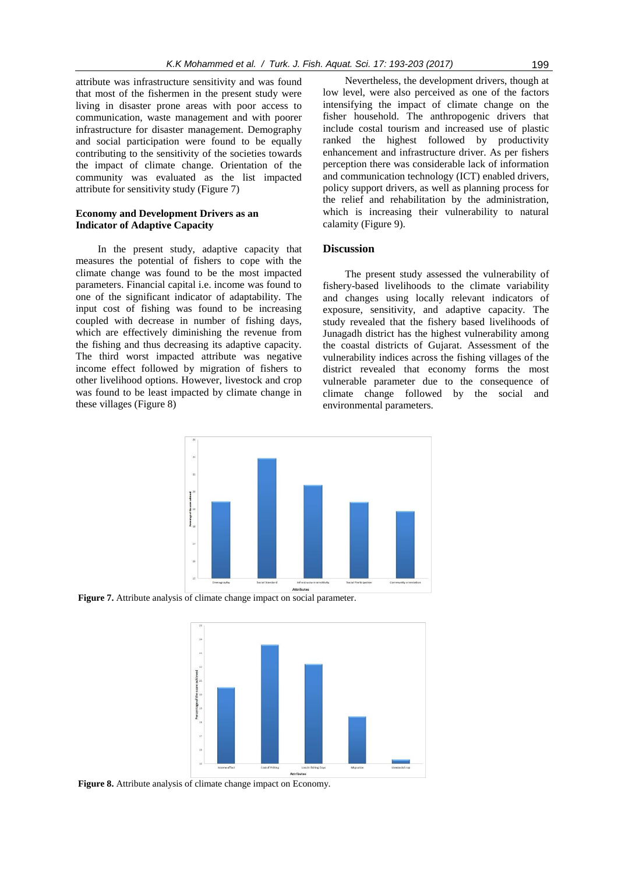attribute was infrastructure sensitivity and was found that most of the fishermen in the present study were living in disaster prone areas with poor access to communication, waste management and with poorer infrastructure for disaster management. Demography and social participation were found to be equally contributing to the sensitivity of the societies towards the impact of climate change. Orientation of the community was evaluated as the list impacted attribute for sensitivity study (Figure 7)

## **Economy and Development Drivers as an Indicator of Adaptive Capacity**

In the present study, adaptive capacity that measures the potential of fishers to cope with the climate change was found to be the most impacted parameters. Financial capital i.e. income was found to one of the significant indicator of adaptability. The input cost of fishing was found to be increasing coupled with decrease in number of fishing days, which are effectively diminishing the revenue from the fishing and thus decreasing its adaptive capacity. The third worst impacted attribute was negative income effect followed by migration of fishers to other livelihood options. However, livestock and crop was found to be least impacted by climate change in these villages (Figure 8)

Nevertheless, the development drivers, though at low level, were also perceived as one of the factors intensifying the impact of climate change on the fisher household. The anthropogenic drivers that include costal tourism and increased use of plastic ranked the highest followed by productivity enhancement and infrastructure driver. As per fishers perception there was considerable lack of information and communication technology (ICT) enabled drivers, policy support drivers, as well as planning process for the relief and rehabilitation by the administration, which is increasing their vulnerability to natural calamity (Figure 9).

# **Discussion**

The present study assessed the vulnerability of fishery-based livelihoods to the climate variability and changes using locally relevant indicators of exposure, sensitivity, and adaptive capacity. The study revealed that the fishery based livelihoods of Junagadh district has the highest vulnerability among the coastal districts of Gujarat. Assessment of the vulnerability indices across the fishing villages of the district revealed that economy forms the most vulnerable parameter due to the consequence of climate change followed by the social and environmental parameters.



**Figure 7.** Attribute analysis of climate change impact on social parameter.



**Figure 8.** Attribute analysis of climate change impact on Economy.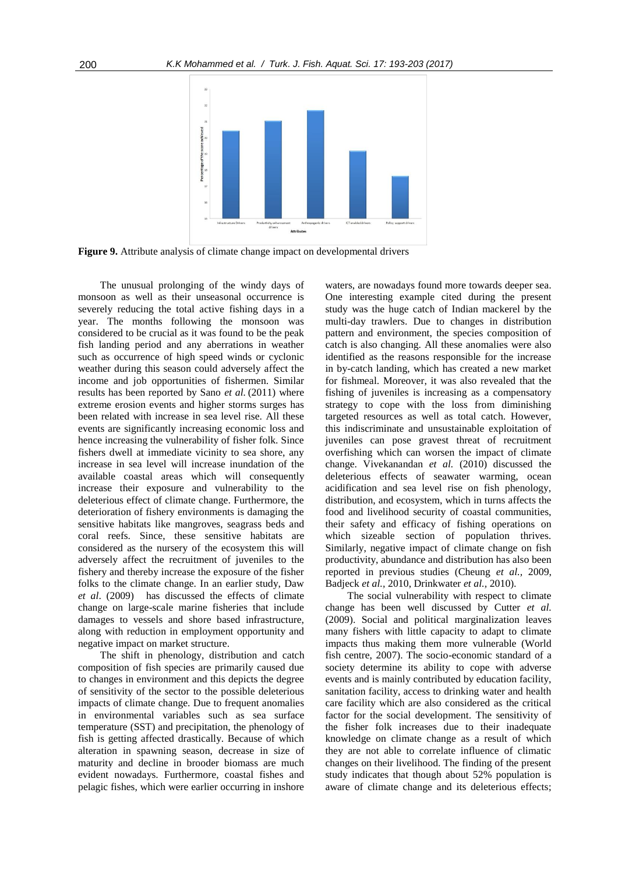

**Figure 9.** Attribute analysis of climate change impact on developmental drivers

The unusual prolonging of the windy days of monsoon as well as their unseasonal occurrence is severely reducing the total active fishing days in a year. The months following the monsoon was considered to be crucial as it was found to be the peak fish landing period and any aberrations in weather such as occurrence of high speed winds or cyclonic weather during this season could adversely affect the income and job opportunities of fishermen. Similar results has been reported by Sano *et al.* (2011) where extreme erosion events and higher storms surges has been related with increase in sea level rise. All these events are significantly increasing economic loss and hence increasing the vulnerability of fisher folk. Since fishers dwell at immediate vicinity to sea shore, any increase in sea level will increase inundation of the available coastal areas which will consequently increase their exposure and vulnerability to the deleterious effect of climate change. Furthermore, the deterioration of fishery environments is damaging the sensitive habitats like mangroves, seagrass beds and coral reefs. Since, these sensitive habitats are considered as the nursery of the ecosystem this will adversely affect the recruitment of juveniles to the fishery and thereby increase the exposure of the fisher folks to the climate change. In an earlier study, Daw *et al*. (2009) has discussed the effects of climate change on large-scale marine fisheries that include damages to vessels and shore based infrastructure, along with reduction in employment opportunity and negative impact on market structure.

The shift in phenology, distribution and catch composition of fish species are primarily caused due to changes in environment and this depicts the degree of sensitivity of the sector to the possible deleterious impacts of climate change. Due to frequent anomalies in environmental variables such as sea surface temperature (SST) and precipitation, the phenology of fish is getting affected drastically. Because of which alteration in spawning season, decrease in size of maturity and decline in brooder biomass are much evident nowadays. Furthermore, coastal fishes and pelagic fishes, which were earlier occurring in inshore

waters, are nowadays found more towards deeper sea. One interesting example cited during the present study was the huge catch of Indian mackerel by the multi-day trawlers. Due to changes in distribution pattern and environment, the species composition of catch is also changing. All these anomalies were also identified as the reasons responsible for the increase in by-catch landing, which has created a new market for fishmeal. Moreover, it was also revealed that the fishing of juveniles is increasing as a compensatory strategy to cope with the loss from diminishing targeted resources as well as total catch. However, this indiscriminate and unsustainable exploitation of juveniles can pose gravest threat of recruitment overfishing which can worsen the impact of climate change. Vivekanandan *et al.* (2010) discussed the deleterious effects of seawater warming, ocean acidification and sea level rise on fish phenology, distribution, and ecosystem, which in turns affects the food and livelihood security of coastal communities, their safety and efficacy of fishing operations on which sizeable section of population thrives. Similarly, negative impact of climate change on fish productivity, abundance and distribution has also been reported in previous studies (Cheung *et al.,* 2009, Badjeck *et al.,* 2010, Drinkwater *et al.,* 2010).

The social vulnerability with respect to climate change has been well discussed by Cutter *et al.*  (2009). Social and political marginalization leaves many fishers with little capacity to adapt to climate impacts thus making them more vulnerable (World fish centre, 2007). The socio-economic standard of a society determine its ability to cope with adverse events and is mainly contributed by education facility, sanitation facility, access to drinking water and health care facility which are also considered as the critical factor for the social development. The sensitivity of the fisher folk increases due to their inadequate knowledge on climate change as a result of which they are not able to correlate influence of climatic changes on their livelihood. The finding of the present study indicates that though about 52% population is aware of climate change and its deleterious effects;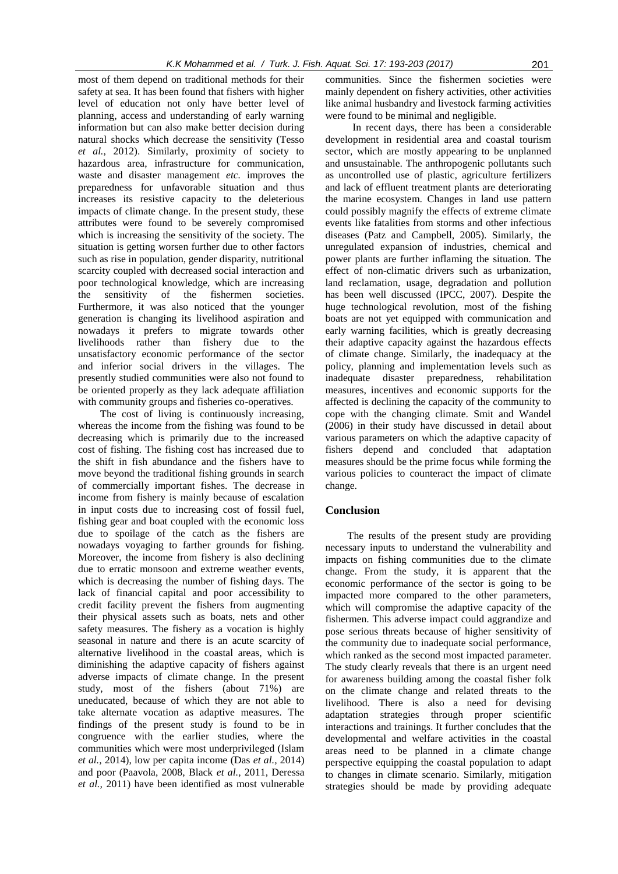most of them depend on traditional methods for their safety at sea. It has been found that fishers with higher level of education not only have better level of planning, access and understanding of early warning information but can also make better decision during natural shocks which decrease the sensitivity (Tesso *et al.,* 2012). Similarly, proximity of society to hazardous area, infrastructure for communication, waste and disaster management *etc.* improves the preparedness for unfavorable situation and thus increases its resistive capacity to the deleterious impacts of climate change. In the present study, these attributes were found to be severely compromised which is increasing the sensitivity of the society. The situation is getting worsen further due to other factors such as rise in population, gender disparity, nutritional scarcity coupled with decreased social interaction and poor technological knowledge, which are increasing the sensitivity of the fishermen societies. Furthermore, it was also noticed that the younger generation is changing its livelihood aspiration and nowadays it prefers to migrate towards other livelihoods rather than fishery due to the unsatisfactory economic performance of the sector and inferior social drivers in the villages. The presently studied communities were also not found to be oriented properly as they lack adequate affiliation with community groups and fisheries co-operatives.

The cost of living is continuously increasing, whereas the income from the fishing was found to be decreasing which is primarily due to the increased cost of fishing. The fishing cost has increased due to the shift in fish abundance and the fishers have to move beyond the traditional fishing grounds in search of commercially important fishes. The decrease in income from fishery is mainly because of escalation in input costs due to increasing cost of fossil fuel, fishing gear and boat coupled with the economic loss due to spoilage of the catch as the fishers are nowadays voyaging to farther grounds for fishing. Moreover, the income from fishery is also declining due to erratic monsoon and extreme weather events, which is decreasing the number of fishing days. The lack of financial capital and poor accessibility to credit facility prevent the fishers from augmenting their physical assets such as boats, nets and other safety measures. The fishery as a vocation is highly seasonal in nature and there is an acute scarcity of alternative livelihood in the coastal areas, which is diminishing the adaptive capacity of fishers against adverse impacts of climate change. In the present study, most of the fishers (about 71%) are uneducated, because of which they are not able to take alternate vocation as adaptive measures. The findings of the present study is found to be in congruence with the earlier studies, where the communities which were most underprivileged (Islam *et al.,* 2014), low per capita income (Das *et al.,* 2014) and poor (Paavola, 2008, Black *et al.,* 2011, Deressa *et al.,* 2011) have been identified as most vulnerable communities. Since the fishermen societies were mainly dependent on fishery activities, other activities like animal husbandry and livestock farming activities were found to be minimal and negligible.

 In recent days, there has been a considerable development in residential area and coastal tourism sector, which are mostly appearing to be unplanned and unsustainable. The anthropogenic pollutants such as uncontrolled use of plastic, agriculture fertilizers and lack of effluent treatment plants are deteriorating the marine ecosystem. Changes in land use pattern could possibly magnify the effects of extreme climate events like fatalities from storms and other infectious diseases (Patz and Campbell, 2005). Similarly, the unregulated expansion of industries, chemical and power plants are further inflaming the situation. The effect of non-climatic drivers such as urbanization, land reclamation, usage, degradation and pollution has been well discussed (IPCC, 2007). Despite the huge technological revolution, most of the fishing boats are not yet equipped with communication and early warning facilities, which is greatly decreasing their adaptive capacity against the hazardous effects of climate change. Similarly, the inadequacy at the policy, planning and implementation levels such as inadequate disaster preparedness, rehabilitation measures, incentives and economic supports for the affected is declining the capacity of the community to cope with the changing climate. Smit and Wandel (2006) in their study have discussed in detail about various parameters on which the adaptive capacity of fishers depend and concluded that adaptation measures should be the prime focus while forming the various policies to counteract the impact of climate change.

### **Conclusion**

The results of the present study are providing necessary inputs to understand the vulnerability and impacts on fishing communities due to the climate change. From the study, it is apparent that the economic performance of the sector is going to be impacted more compared to the other parameters, which will compromise the adaptive capacity of the fishermen. This adverse impact could aggrandize and pose serious threats because of higher sensitivity of the community due to inadequate social performance, which ranked as the second most impacted parameter. The study clearly reveals that there is an urgent need for awareness building among the coastal fisher folk on the climate change and related threats to the livelihood. There is also a need for devising adaptation strategies through proper scientific interactions and trainings. It further concludes that the developmental and welfare activities in the coastal areas need to be planned in a climate change perspective equipping the coastal population to adapt to changes in climate scenario. Similarly, mitigation strategies should be made by providing adequate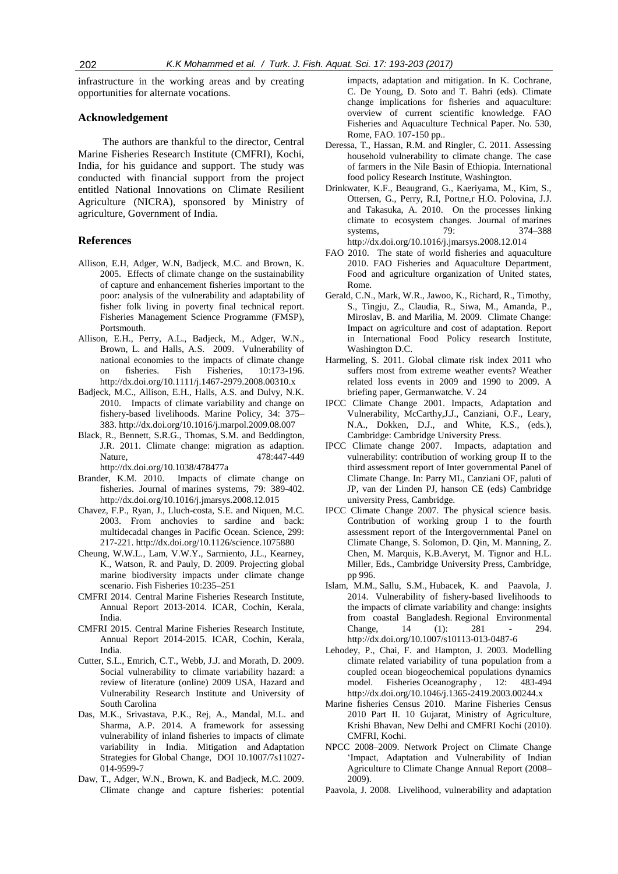infrastructure in the working areas and by creating opportunities for alternate vocations.

# **Acknowledgement**

The authors are thankful to the director, Central Marine Fisheries Research Institute (CMFRI), Kochi, India, for his guidance and support. The study was conducted with financial support from the project entitled National Innovations on Climate Resilient Agriculture (NICRA), sponsored by Ministry of agriculture, Government of India.

#### **References**

- Allison, E.H, Adger, W.N, Badjeck, M.C. and Brown, K. 2005. Effects of climate change on the sustainability of capture and enhancement fisheries important to the poor: analysis of the vulnerability and adaptability of fisher folk living in poverty final technical report. Fisheries Management Science Programme (FMSP), Portsmouth.
- Allison, E.H., Perry, A.L., Badjeck, M., Adger, W.N., Brown, L. and Halls, A.S. 2009. Vulnerability of national economies to the impacts of climate change on fisheries. Fish Fisheries, 10:173-196. <http://dx.doi.org/10.1111/j.1467-2979.2008.00310.x>
- Badjeck, M.C., Allison, E.H., Halls, A.S. and Dulvy, N.K. 2010. Impacts of climate variability and change on fishery-based livelihoods. Marine Policy, 34: 375– 383[. http://dx.doi.org/10.1016/j.marpol.2009.08.007](http://dx.doi.org/10.1016/j.marpol.2009.08.007)
- Black, R., Bennett, S.R.G., Thomas, S.M. and Beddington, J.R. 2011. Climate change: migration as adaption. Nature, 478:447-449 <http://dx.doi.org/10.1038/478477a>
- Brander, K.M. 2010. Impacts of climate change on fisheries. Journal of marines systems, 79: 389-402. <http://dx.doi.org/10.1016/j.jmarsys.2008.12.015>
- Chavez, F.P., Ryan, J., Lluch-costa, S.E. and Niquen, M.C. 2003. From anchovies to sardine and back: multidecadal changes in Pacific Ocean. Science, 299: 217-221.<http://dx.doi.org/10.1126/science.1075880>
- Cheung, W.W.L., Lam, V.W.Y., Sarmiento, J.L., Kearney, K., Watson, R. and Pauly, D. 2009. Projecting global marine biodiversity impacts under climate change scenario. Fish Fisheries 10:235–251
- CMFRI 2014. Central Marine Fisheries Research Institute, Annual Report 2013-2014. ICAR, Cochin, Kerala, India.
- CMFRI 2015. Central Marine Fisheries Research Institute, Annual Report 2014-2015. ICAR, Cochin, Kerala, India.
- Cutter, S.L., Emrich, C.T., Webb, J.J. and Morath, D. 2009. Social vulnerability to climate variability hazard: a review of literature (online) 2009 USA, Hazard and Vulnerability Research Institute and University of South Carolina
- Das, M.K., Srivastava, P.K., Rej, A., Mandal, M.L. and Sharma, A.P. 2014. A framework for assessing vulnerability of inland fisheries to impacts of climate variability in India. Mitigation and Adaptation Strategies for Global Change, DOI 10.1007/7s11027- 014-9599-7
- Daw, T., Adger, W.N., Brown, K. and Badjeck, M.C. 2009. Climate change and capture fisheries: potential

impacts, adaptation and mitigation. In K. Cochrane, C. De Young, D. Soto and T. Bahri (eds). Climate change implications for fisheries and aquaculture: overview of current scientific knowledge. FAO Fisheries and Aquaculture Technical Paper. No. 530, Rome, FAO. 107-150 pp..

- Deressa, T., Hassan, R.M. and Ringler, C. 2011. Assessing household vulnerability to climate change. The case of farmers in the Nile Basin of Ethiopia. International food policy Research Institute, Washington.
- Drinkwater, K.F., Beaugrand, G., Kaeriyama, M., Kim, S., Ottersen, G., Perry, R.I, Portne,r H.O. Polovina, J.J. and Takasuka, A. 2010. On the processes linking climate to ecosystem changes. Journal of marines systems, 79: 374–388 <http://dx.doi.org/10.1016/j.jmarsys.2008.12.014>
- FAO 2010. The state of world fisheries and aquaculture 2010. FAO Fisheries and Aquaculture Department, Food and agriculture organization of United states, Rome.
- Gerald, C.N., Mark, W.R., Jawoo, K., Richard, R., Timothy, S., Tingju, Z., Claudia, R., Siwa, M., Amanda, P., Miroslav, B. and Marilia, M. 2009. Climate Change: Impact on agriculture and cost of adaptation. Report in International Food Policy research Institute, Washington D.C.
- Harmeling, S. 2011. Global climate risk index 2011 who suffers most from extreme weather events? Weather related loss events in 2009 and 1990 to 2009. A briefing paper, Germanwatche. V. 24
- IPCC Climate Change 2001. Impacts, Adaptation and Vulnerability, McCarthy,J.J., Canziani, O.F., Leary, N.A., Dokken, D.J., and White, K.S., (eds.), Cambridge: Cambridge University Press.
- IPCC Climate change 2007. Impacts, adaptation and vulnerability: contribution of working group II to the third assessment report of Inter governmental Panel of Climate Change. In: Parry ML, Canziani OF, paluti of JP, van der Linden PJ, hanson CE (eds) Cambridge university Press, Cambridge.
- IPCC Climate Change 2007. The physical science basis. Contribution of working group I to the fourth assessment report of the Intergovernmental Panel on Climate Change, S. Solomon, D. Qin, M. Manning, Z. Chen, M. Marquis, K.B.Averyt, M. Tignor and H.L. Miller, Eds., Cambridge University Press, Cambridge, pp 996.
- Islam, M.M., Sallu, S.M., Hubacek, K. and Paavola, J. 2014. Vulnerability of fishery-based livelihoods to the impacts of climate variability and change: insights from coastal Bangladesh. Regional Environmental Change, 14 (1): 281 - 294. <http://dx.doi.org/10.1007/s10113-013-0487-6>
- Lehodey, P., Chai, F. and Hampton, J. 2003. Modelling climate related variability of tuna population from a coupled ocean biogeochemical populations dynamics model. Fisheries Oceanography , 12: 483-494 <http://dx.doi.org/10.1046/j.1365-2419.2003.00244.x>
- Marine fisheries Census 2010. Marine Fisheries Census 2010 Part II. 10 Gujarat, Ministry of Agriculture, Krishi Bhavan, New Delhi and CMFRI Kochi (2010). CMFRI, Kochi.
- NPCC 2008–2009. Network Project on Climate Change 'Impact, Adaptation and Vulnerability of Indian Agriculture to Climate Change Annual Report (2008– 2009).
- Paavola, J. 2008. Livelihood, vulnerability and adaptation